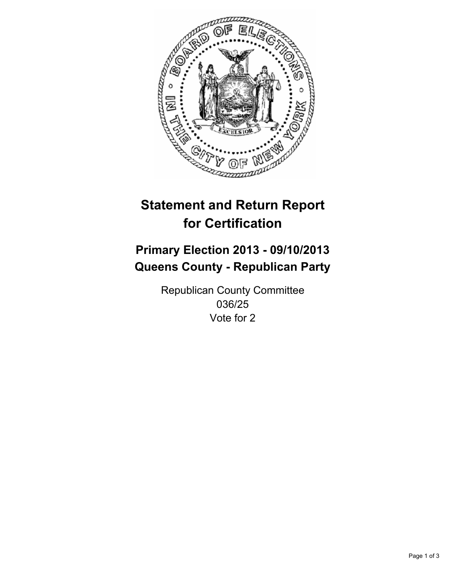

# **Statement and Return Report for Certification**

## **Primary Election 2013 - 09/10/2013 Queens County - Republican Party**

Republican County Committee 036/25 Vote for 2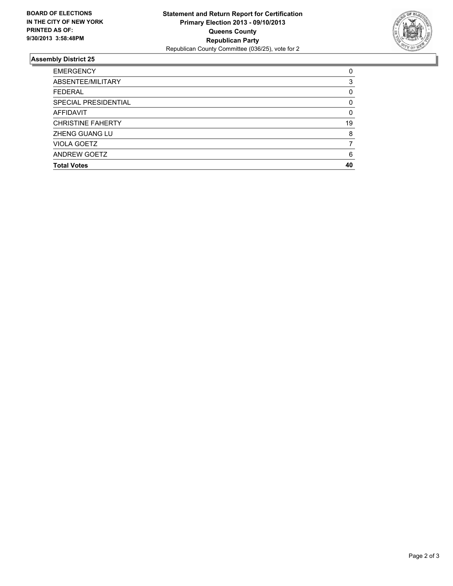

### **Assembly District 25**

| 0        |
|----------|
| 3        |
| 0        |
| 0        |
| $\Omega$ |
| 19       |
| 8        |
|          |
| 6        |
| 40       |
|          |